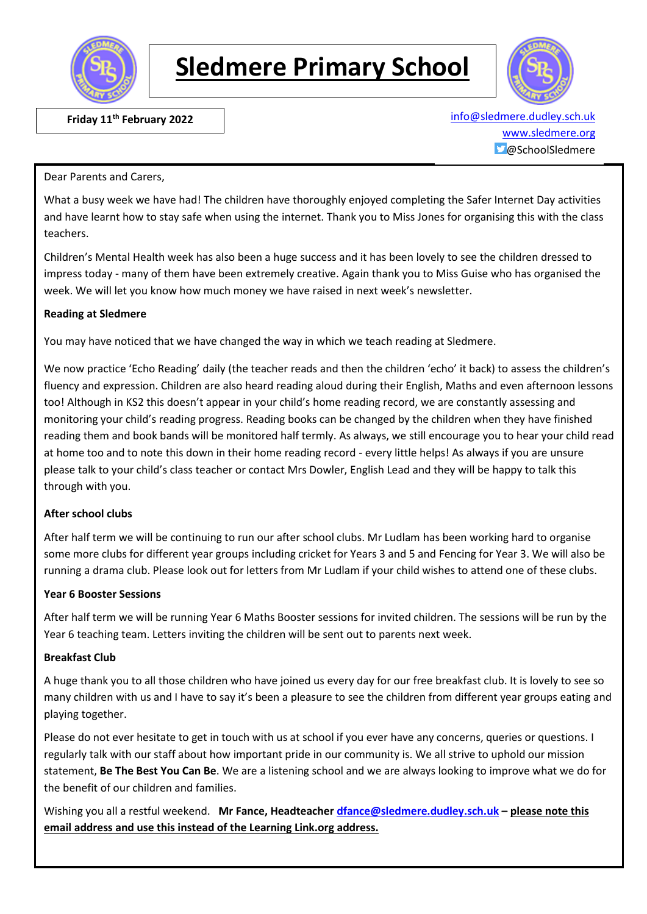

# **Sledmere Primary School**



**Friday 11<sup>th</sup> February 2022** 

info@sledmere.dudley.sch.uk [www.sledmere.org](http://www.sledmere.org/)  $\Box$ @SchoolSledmere

#### Dear Parents and Carers,

What a busy week we have had! The children have thoroughly enjoyed completing the Safer Internet Day activities and have learnt how to stay safe when using the internet. Thank you to Miss Jones for organising this with the class teachers.

Children's Mental Health week has also been a huge success and it has been lovely to see the children dressed to impress today - many of them have been extremely creative. Again thank you to Miss Guise who has organised the week. We will let you know how much money we have raised in next week's newsletter.

### **Reading at Sledmere**

You may have noticed that we have changed the way in which we teach reading at Sledmere.

We now practice 'Echo Reading' daily (the teacher reads and then the children 'echo' it back) to assess the children's fluency and expression. Children are also heard reading aloud during their English, Maths and even afternoon lessons too! Although in KS2 this doesn't appear in your child's home reading record, we are constantly assessing and monitoring your child's reading progress. Reading books can be changed by the children when they have finished reading them and book bands will be monitored half termly. As always, we still encourage you to hear your child read at home too and to note this down in their home reading record - every little helps! As always if you are unsure please talk to your child's class teacher or contact Mrs Dowler, English Lead and they will be happy to talk this through with you.

### **After school clubs**

After half term we will be continuing to run our after school clubs. Mr Ludlam has been working hard to organise some more clubs for different year groups including cricket for Years 3 and 5 and Fencing for Year 3. We will also be running a drama club. Please look out for letters from Mr Ludlam if your child wishes to attend one of these clubs.

### **Year 6 Booster Sessions**

After half term we will be running Year 6 Maths Booster sessions for invited children. The sessions will be run by the Year 6 teaching team. Letters inviting the children will be sent out to parents next week.

### **Breakfast Club**

A huge thank you to all those children who have joined us every day for our free breakfast club. It is lovely to see so many children with us and I have to say it's been a pleasure to see the children from different year groups eating and playing together.

Please do not ever hesitate to get in touch with us at school if you ever have any concerns, queries or questions. I regularly talk with our staff about how important pride in our community is. We all strive to uphold our mission statement, **Be The Best You Can Be**. We are a listening school and we are always looking to improve what we do for the benefit of our children and families.

Wishing you all a restful weekend. **Mr Fance, Headteacher [dfance@sledmere.dudley.sch.uk](mailto:dfance@sledmere.dudley.sch.uk) – please note this email address and use this instead of the Learning Link.org address.**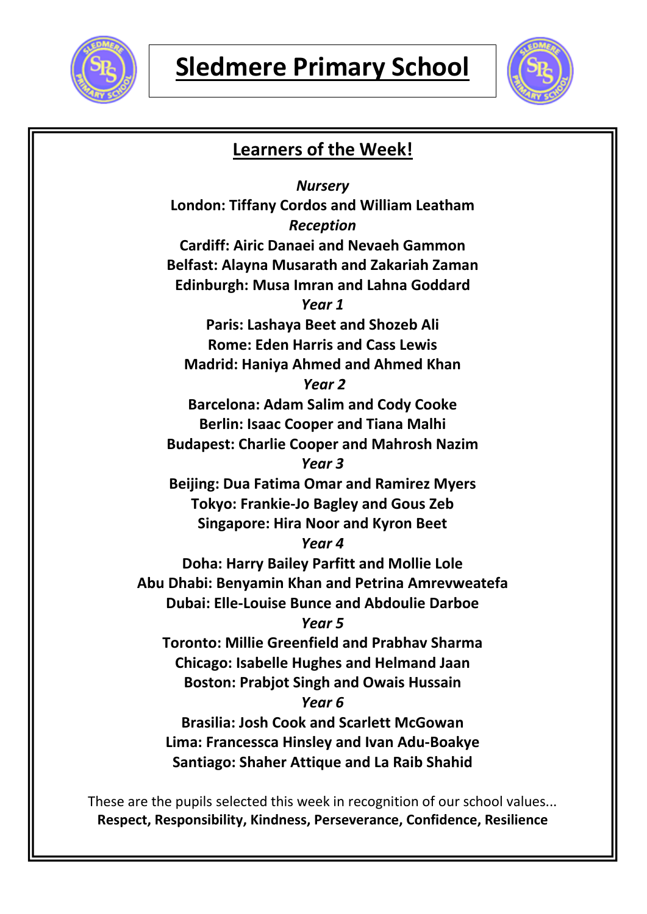



# **Learners of the Week!**

*Nursery* **London: Tiffany Cordos and William Leatham** *Reception* **Cardiff: Airic Danaei and Nevaeh Gammon Belfast: Alayna Musarath and Zakariah Zaman Edinburgh: Musa Imran and Lahna Goddard** *Year 1* **Paris: Lashaya Beet and Shozeb Ali Rome: Eden Harris and Cass Lewis Madrid: Haniya Ahmed and Ahmed Khan** *Year 2* **Barcelona: Adam Salim and Cody Cooke Berlin: Isaac Cooper and Tiana Malhi Budapest: Charlie Cooper and Mahrosh Nazim** *Year 3* **Beijing: Dua Fatima Omar and Ramirez Myers Tokyo: Frankie-Jo Bagley and Gous Zeb Singapore: Hira Noor and Kyron Beet** *Year 4* **Doha: Harry Bailey Parfitt and Mollie Lole Abu Dhabi: Benyamin Khan and Petrina Amrevweatefa Dubai: Elle-Louise Bunce and Abdoulie Darboe** *Year 5* **Toronto: Millie Greenfield and Prabhav Sharma Chicago: Isabelle Hughes and Helmand Jaan Boston: Prabjot Singh and Owais Hussain** *Year 6* **Brasilia: Josh Cook and Scarlett McGowan Lima: Francessca Hinsley and Ivan Adu-Boakye Santiago: Shaher Attique and La Raib Shahid**

These are the pupils selected this week in recognition of our school values... **Respect, Responsibility, Kindness, Perseverance, Confidence, Resilience**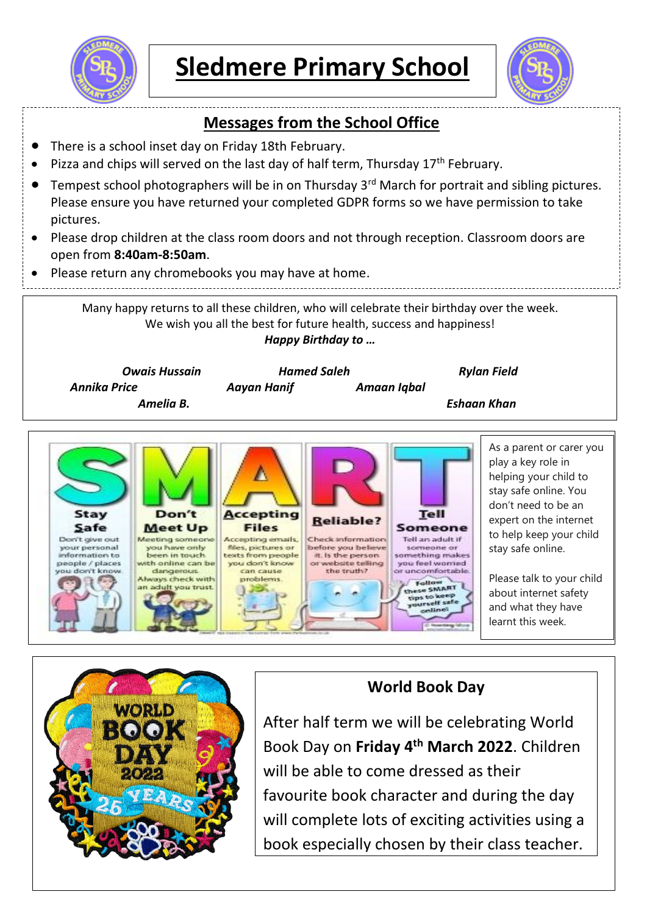



## **Messages from the School Office**

- There is a school inset day on Friday 18th February.
- Pizza and chips will served on the last day of half term, Thursday 17<sup>th</sup> February.
- Tempest school photographers will be in on Thursday 3<sup>rd</sup> March for portrait and sibling pictures. Please ensure you have returned your completed GDPR forms so we have permission to take pictures.
- Please drop children at the class room doors and not through reception. Classroom doors are open from **8:40am-8:50am**.
- Please return any chromebooks you may have at home.

Many happy returns to all these children, who will celebrate their birthday over the week. We wish you all the best for future health, success and happiness! *Happy Birthday to …*





# **World Book Day**

After half term we will be celebrating World Book Day on **Friday 4th March 2022**. Children will be able to come dressed as their favourite book character and during the day will complete lots of exciting activities using a book especially chosen by their class teacher.